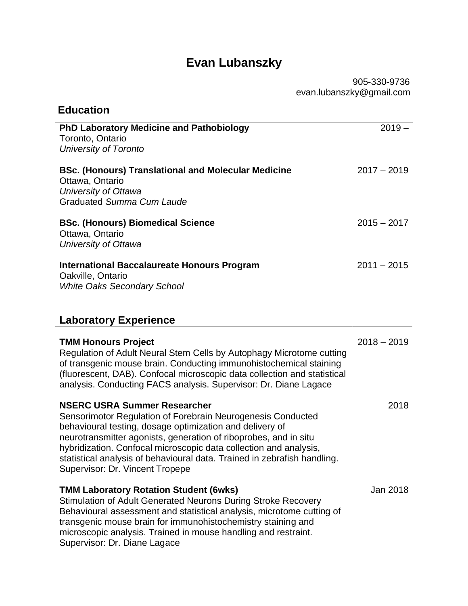## **Evan Lubanszky**

905-330-9736 evan.lubanszky@gmail.com

| <b>Education</b>                                                                                                                                                                                                                                                                                                                                                                                                       |               |
|------------------------------------------------------------------------------------------------------------------------------------------------------------------------------------------------------------------------------------------------------------------------------------------------------------------------------------------------------------------------------------------------------------------------|---------------|
| <b>PhD Laboratory Medicine and Pathobiology</b><br>Toronto, Ontario<br><b>University of Toronto</b>                                                                                                                                                                                                                                                                                                                    | $2019 -$      |
| <b>BSc. (Honours) Translational and Molecular Medicine</b><br>Ottawa, Ontario<br>University of Ottawa<br><b>Graduated Summa Cum Laude</b>                                                                                                                                                                                                                                                                              | $2017 - 2019$ |
| <b>BSc. (Honours) Biomedical Science</b><br>Ottawa, Ontario<br>University of Ottawa                                                                                                                                                                                                                                                                                                                                    | $2015 - 2017$ |
| <b>International Baccalaureate Honours Program</b><br>Oakville, Ontario<br><b>White Oaks Secondary School</b>                                                                                                                                                                                                                                                                                                          | $2011 - 2015$ |
| <b>Laboratory Experience</b>                                                                                                                                                                                                                                                                                                                                                                                           |               |
| <b>TMM Honours Project</b><br>Regulation of Adult Neural Stem Cells by Autophagy Microtome cutting<br>of transgenic mouse brain. Conducting immunohistochemical staining<br>(fluorescent, DAB). Confocal microscopic data collection and statistical<br>analysis. Conducting FACS analysis. Supervisor: Dr. Diane Lagace                                                                                               | $2018 - 2019$ |
| <b>NSERC USRA Summer Researcher</b><br>Sensorimotor Regulation of Forebrain Neurogenesis Conducted<br>behavioural testing, dosage optimization and delivery of<br>neurotransmitter agonists, generation of riboprobes, and in situ<br>hybridization. Confocal microscopic data collection and analysis,<br>statistical analysis of behavioural data. Trained in zebrafish handling.<br>Supervisor: Dr. Vincent Tropepe | 2018          |
| <b>TMM Laboratory Rotation Student (6wks)</b><br>Stimulation of Adult Generated Neurons During Stroke Recovery<br>Behavioural assessment and statistical analysis, microtome cutting of<br>transgenic mouse brain for immunohistochemistry staining and<br>microscopic analysis. Trained in mouse handling and restraint.<br>Supervisor: Dr. Diane Lagace                                                              | Jan 2018      |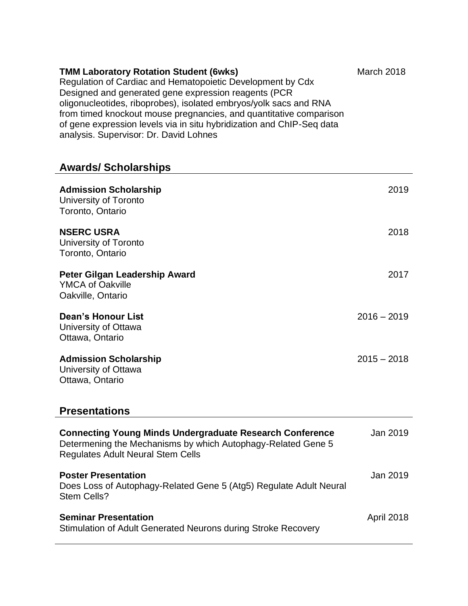| <b>TMM Laboratory Rotation Student (6wks)</b>                         | <b>March 2018</b> |
|-----------------------------------------------------------------------|-------------------|
| Regulation of Cardiac and Hematopoietic Development by Cdx            |                   |
| Designed and generated gene expression reagents (PCR                  |                   |
| oligonucleotides, riboprobes), isolated embryos/yolk sacs and RNA     |                   |
| from timed knockout mouse pregnancies, and quantitative comparison    |                   |
| of gene expression levels via in situ hybridization and ChIP-Seq data |                   |
| analysis. Supervisor: Dr. David Lohnes                                |                   |

## **Awards/ Scholarships**

| <b>Admission Scholarship</b><br>University of Toronto<br>Toronto, Ontario                                                                                                   | 2019          |
|-----------------------------------------------------------------------------------------------------------------------------------------------------------------------------|---------------|
| <b>NSERC USRA</b><br>University of Toronto<br>Toronto, Ontario                                                                                                              | 2018          |
| <b>Peter Gilgan Leadership Award</b><br><b>YMCA of Oakville</b><br>Oakville, Ontario                                                                                        | 2017          |
| Dean's Honour List<br>University of Ottawa<br>Ottawa, Ontario                                                                                                               | $2016 - 2019$ |
| <b>Admission Scholarship</b><br>University of Ottawa<br>Ottawa, Ontario                                                                                                     | $2015 - 2018$ |
| <b>Presentations</b>                                                                                                                                                        |               |
| <b>Connecting Young Minds Undergraduate Research Conference</b><br>Determening the Mechanisms by which Autophagy-Related Gene 5<br><b>Regulates Adult Neural Stem Cells</b> | Jan 2019      |
| <b>Poster Presentation</b><br>Does Loss of Autophagy-Related Gene 5 (Atg5) Regulate Adult Neural<br><b>Stem Cells?</b>                                                      | Jan 2019      |
| <b>Seminar Presentation</b><br>Stimulation of Adult Generated Neurons during Stroke Recovery                                                                                | April 2018    |